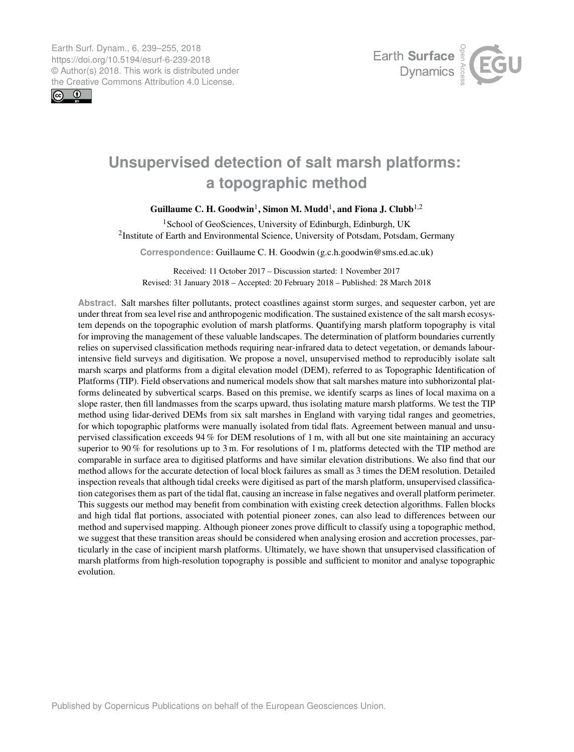<span id="page-0-1"></span>Earth Surf. Dynam., 6, 239–255, 2018 https://doi.org/10.5194/esurf-6-239-2018 © Author(s) 2018. This work is distributed under the Creative Commons Attribution 4.0 License.





# **Unsupervised detection of salt marsh platforms: a topographic method**

# Guillaume C. H. Goodwin<sup>[1](#page-0-0)</sup>, Simon M. Mudd<sup>1</sup>, and Fiona J. Clubb<sup>[1,2](#page-0-0)</sup>

<sup>1</sup>School of GeoSciences, University of Edinburgh, Edinburgh, UK <sup>2</sup>Institute of Earth and Environmental Science, University of Potsdam, Potsdam, Germany

**Correspondence:** Guillaume C. H. Goodwin (g.c.h.goodwin@sms.ed.ac.uk)

Received: 11 October 2017 – Discussion started: 1 November 2017 Revised: 31 January 2018 – Accepted: 20 February 2018 – Published: 28 March 2018

<span id="page-0-0"></span>**Abstract.** Salt marshes filter pollutants, protect coastlines against storm surges, and sequester carbon, yet are under threat from sea level rise and anthropogenic modification. The sustained existence of the salt marsh ecosystem depends on the topographic evolution of marsh platforms. Quantifying marsh platform topography is vital for improving the management of these valuable landscapes. The determination of platform boundaries currently relies on supervised classification methods requiring near-infrared data to detect vegetation, or demands labourintensive field surveys and digitisation. We propose a novel, unsupervised method to reproducibly isolate salt marsh scarps and platforms from a digital elevation model (DEM), referred to as Topographic Identification of Platforms (TIP). Field observations and numerical models show that salt marshes mature into subhorizontal platforms delineated by subvertical scarps. Based on this premise, we identify scarps as lines of local maxima on a slope raster, then fill landmasses from the scarps upward, thus isolating mature marsh platforms. We test the TIP method using lidar-derived DEMs from six salt marshes in England with varying tidal ranges and geometries, for which topographic platforms were manually isolated from tidal flats. Agreement between manual and unsupervised classification exceeds 94 % for DEM resolutions of 1 m, with all but one site maintaining an accuracy superior to 90 % for resolutions up to 3 m. For resolutions of 1 m, platforms detected with the TIP method are comparable in surface area to digitised platforms and have similar elevation distributions. We also find that our method allows for the accurate detection of local block failures as small as 3 times the DEM resolution. Detailed inspection reveals that although tidal creeks were digitised as part of the marsh platform, unsupervised classification categorises them as part of the tidal flat, causing an increase in false negatives and overall platform perimeter. This suggests our method may benefit from combination with existing creek detection algorithms. Fallen blocks and high tidal flat portions, associated with potential pioneer zones, can also lead to differences between our method and supervised mapping. Although pioneer zones prove difficult to classify using a topographic method, we suggest that these transition areas should be considered when analysing erosion and accretion processes, particularly in the case of incipient marsh platforms. Ultimately, we have shown that unsupervised classification of marsh platforms from high-resolution topography is possible and sufficient to monitor and analyse topographic evolution.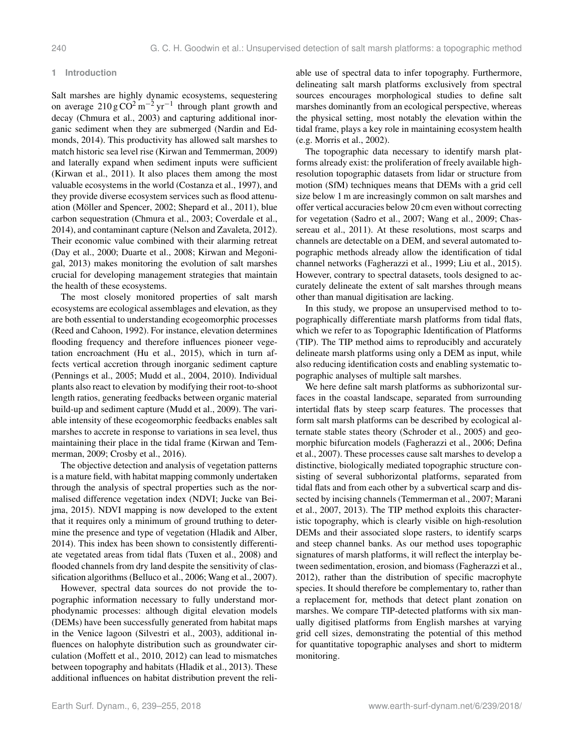#### **1 Introduction**

Salt marshes are highly dynamic ecosystems, sequestering on average  $210 \text{ g } \text{CO}^2 \text{ m}^{-2} \text{ yr}^{-1}$  through plant growth and decay [\(Chmura et al.,](#page-14-0) [2003\)](#page-14-0) and capturing additional inorganic sediment when they are submerged [\(Nardin and Ed](#page-15-0)[monds,](#page-15-0) [2014\)](#page-15-0). This productivity has allowed salt marshes to match historic sea level rise [\(Kirwan and Temmerman,](#page-15-1) [2009\)](#page-15-1) and laterally expand when sediment inputs were sufficient [\(Kirwan et al.,](#page-15-2) [2011\)](#page-15-2). It also places them among the most valuable ecosystems in the world [\(Costanza et al.,](#page-14-1) [1997\)](#page-14-1), and they provide diverse ecosystem services such as flood attenuation [\(Möller and Spencer,](#page-15-3) [2002;](#page-15-3) [Shepard et al.,](#page-16-0) [2011\)](#page-16-0), blue carbon sequestration [\(Chmura et al.,](#page-14-0) [2003;](#page-14-0) [Coverdale et al.,](#page-14-2) [2014\)](#page-14-2), and contaminant capture [\(Nelson and Zavaleta,](#page-15-4) [2012\)](#page-15-4). Their economic value combined with their alarming retreat [\(Day et al.,](#page-14-3) [2000;](#page-14-3) [Duarte et al.,](#page-14-4) [2008;](#page-14-4) [Kirwan and Megoni](#page-15-5)[gal,](#page-15-5) [2013\)](#page-15-5) makes monitoring the evolution of salt marshes crucial for developing management strategies that maintain the health of these ecosystems.

The most closely monitored properties of salt marsh ecosystems are ecological assemblages and elevation, as they are both essential to understanding ecogeomorphic processes [\(Reed and Cahoon,](#page-16-1) [1992\)](#page-16-1). For instance, elevation determines flooding frequency and therefore influences pioneer vegetation encroachment [\(Hu et al.,](#page-15-6) [2015\)](#page-15-6), which in turn affects vertical accretion through inorganic sediment capture [\(Pennings et al.,](#page-16-2) [2005;](#page-16-2) [Mudd et al.,](#page-15-7) [2004,](#page-15-7) [2010\)](#page-15-8). Individual plants also react to elevation by modifying their root-to-shoot length ratios, generating feedbacks between organic material build-up and sediment capture [\(Mudd et al.,](#page-15-9) [2009\)](#page-15-9). The variable intensity of these ecogeomorphic feedbacks enables salt marshes to accrete in response to variations in sea level, thus maintaining their place in the tidal frame [\(Kirwan and Tem](#page-15-1)[merman,](#page-15-1) [2009;](#page-15-1) [Crosby et al.,](#page-14-5) [2016\)](#page-14-5).

The objective detection and analysis of vegetation patterns is a mature field, with habitat mapping commonly undertaken through the analysis of spectral properties such as the normalised difference vegetation index (NDVI; [Jucke van Bei](#page-15-10)[jma,](#page-15-10) [2015\)](#page-15-10). NDVI mapping is now developed to the extent that it requires only a minimum of ground truthing to determine the presence and type of vegetation [\(Hladik and Alber,](#page-15-11) [2014\)](#page-15-11). This index has been shown to consistently differentiate vegetated areas from tidal flats [\(Tuxen et al.,](#page-16-3) [2008\)](#page-16-3) and flooded channels from dry land despite the sensitivity of classification algorithms [\(Belluco et al.,](#page-14-6) [2006;](#page-14-6) [Wang et al.,](#page-16-4) [2007\)](#page-16-4).

However, spectral data sources do not provide the topographic information necessary to fully understand morphodynamic processes: although digital elevation models (DEMs) have been successfully generated from habitat maps in the Venice lagoon [\(Silvestri et al.,](#page-16-5) [2003\)](#page-16-5), additional influences on halophyte distribution such as groundwater circulation [\(Moffett et al.,](#page-15-12) [2010,](#page-15-12) [2012\)](#page-15-13) can lead to mismatches between topography and habitats [\(Hladik et al.,](#page-15-14) [2013\)](#page-15-14). These additional influences on habitat distribution prevent the reliable use of spectral data to infer topography. Furthermore, delineating salt marsh platforms exclusively from spectral sources encourages morphological studies to define salt marshes dominantly from an ecological perspective, whereas the physical setting, most notably the elevation within the tidal frame, plays a key role in maintaining ecosystem health (e.g. [Morris et al.,](#page-15-15) [2002\)](#page-15-15).

The topographic data necessary to identify marsh platforms already exist: the proliferation of freely available highresolution topographic datasets from lidar or structure from motion (SfM) techniques means that DEMs with a grid cell size below 1 m are increasingly common on salt marshes and offer vertical accuracies below 20 cm even without correcting for vegetation [\(Sadro et al.,](#page-16-6) [2007;](#page-16-6) [Wang et al.,](#page-16-7) [2009;](#page-16-7) [Chas](#page-14-7)[sereau et al.,](#page-14-7) [2011\)](#page-14-7). At these resolutions, most scarps and channels are detectable on a DEM, and several automated topographic methods already allow the identification of tidal channel networks [\(Fagherazzi et al.,](#page-14-8) [1999;](#page-14-8) [Liu et al.,](#page-15-16) [2015\)](#page-15-16). However, contrary to spectral datasets, tools designed to accurately delineate the extent of salt marshes through means other than manual digitisation are lacking.

In this study, we propose an unsupervised method to topographically differentiate marsh platforms from tidal flats, which we refer to as Topographic Identification of Platforms (TIP). The TIP method aims to reproducibly and accurately delineate marsh platforms using only a DEM as input, while also reducing identification costs and enabling systematic topographic analyses of multiple salt marshes.

We here define salt marsh platforms as subhorizontal surfaces in the coastal landscape, separated from surrounding intertidal flats by steep scarp features. The processes that form salt marsh platforms can be described by ecological alternate stable states theory [\(Schroder et al.,](#page-16-8) [2005\)](#page-16-8) and geomorphic bifurcation models [\(Fagherazzi et al.,](#page-14-9) [2006;](#page-14-9) [Defina](#page-14-10) [et al.,](#page-14-10) [2007\)](#page-14-10). These processes cause salt marshes to develop a distinctive, biologically mediated topographic structure consisting of several subhorizontal platforms, separated from tidal flats and from each other by a subvertical scarp and dissected by incising channels [\(Temmerman et al.,](#page-16-9) [2007;](#page-16-9) [Marani](#page-15-17) [et al.,](#page-15-17) [2007,](#page-15-17) [2013\)](#page-15-18). The TIP method exploits this characteristic topography, which is clearly visible on high-resolution DEMs and their associated slope rasters, to identify scarps and steep channel banks. As our method uses topographic signatures of marsh platforms, it will reflect the interplay between sedimentation, erosion, and biomass [\(Fagherazzi et al.,](#page-14-11) [2012\)](#page-14-11), rather than the distribution of specific macrophyte species. It should therefore be complementary to, rather than a replacement for, methods that detect plant zonation on marshes. We compare TIP-detected platforms with six manually digitised platforms from English marshes at varying grid cell sizes, demonstrating the potential of this method for quantitative topographic analyses and short to midterm monitoring.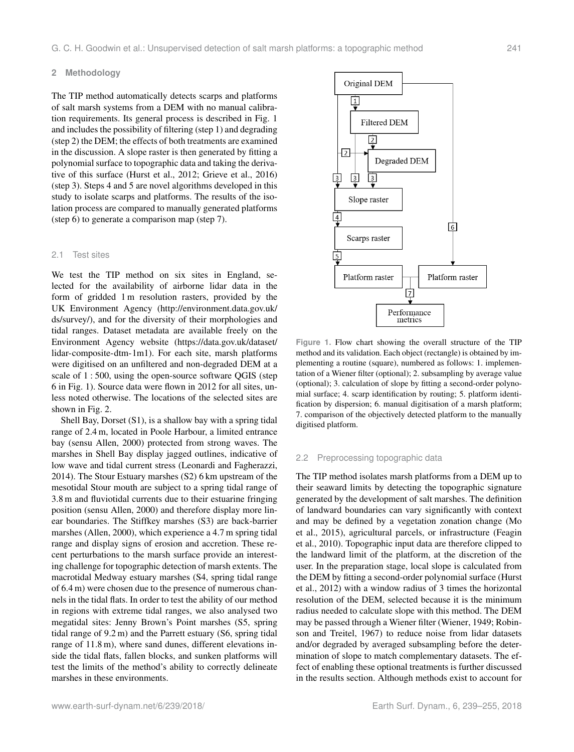#### **2 Methodology**

The TIP method automatically detects scarps and platforms of salt marsh systems from a DEM with no manual calibration requirements. Its general process is described in Fig. [1](#page-2-0) and includes the possibility of filtering (step 1) and degrading (step 2) the DEM; the effects of both treatments are examined in the discussion. A slope raster is then generated by fitting a polynomial surface to topographic data and taking the derivative of this surface [\(Hurst et al.,](#page-15-19) [2012;](#page-15-19) [Grieve et al.,](#page-15-20) [2016\)](#page-15-20) (step 3). Steps 4 and 5 are novel algorithms developed in this study to isolate scarps and platforms. The results of the isolation process are compared to manually generated platforms (step 6) to generate a comparison map (step 7).

#### 2.1 Test sites

We test the TIP method on six sites in England, selected for the availability of airborne lidar data in the form of gridded 1 m resolution rasters, provided by the UK Environment Agency [\(http://environment.data.gov.uk/](http://environment.data.gov.uk/ds/survey/) [ds/survey/\)](http://environment.data.gov.uk/ds/survey/), and for the diversity of their morphologies and tidal ranges. Dataset metadata are available freely on the Environment Agency website [\(https://data.gov.uk/dataset/](https://data.gov.uk/dataset/lidar-composite-dtm-1m1) [lidar-composite-dtm-1m1\)](https://data.gov.uk/dataset/lidar-composite-dtm-1m1). For each site, marsh platforms were digitised on an unfiltered and non-degraded DEM at a scale of 1 : 500, using the open-source software QGIS (step 6 in Fig. [1\)](#page-2-0). Source data were flown in 2012 for all sites, unless noted otherwise. The locations of the selected sites are shown in Fig. [2.](#page-3-0)

Shell Bay, Dorset (S1), is a shallow bay with a spring tidal range of 2.4 m, located in Poole Harbour, a limited entrance bay (sensu [Allen,](#page-14-12) [2000\)](#page-14-12) protected from strong waves. The marshes in Shell Bay display jagged outlines, indicative of low wave and tidal current stress [\(Leonardi and Fagherazzi,](#page-15-21) [2014\)](#page-15-21). The Stour Estuary marshes (S2) 6 km upstream of the mesotidal Stour mouth are subject to a spring tidal range of 3.8 m and fluviotidal currents due to their estuarine fringing position (sensu [Allen,](#page-14-12) [2000\)](#page-14-12) and therefore display more linear boundaries. The Stiffkey marshes (S3) are back-barrier marshes [\(Allen,](#page-14-12) [2000\)](#page-14-12), which experience a 4.7 m spring tidal range and display signs of erosion and accretion. These recent perturbations to the marsh surface provide an interesting challenge for topographic detection of marsh extents. The macrotidal Medway estuary marshes (S4, spring tidal range of 6.4 m) were chosen due to the presence of numerous channels in the tidal flats. In order to test the ability of our method in regions with extreme tidal ranges, we also analysed two megatidal sites: Jenny Brown's Point marshes (S5, spring tidal range of 9.2 m) and the Parrett estuary (S6, spring tidal range of 11.8 m), where sand dunes, different elevations inside the tidal flats, fallen blocks, and sunken platforms will test the limits of the method's ability to correctly delineate marshes in these environments.

<span id="page-2-0"></span>

**Figure 1.** Flow chart showing the overall structure of the TIP method and its validation. Each object (rectangle) is obtained by implementing a routine (square), numbered as follows: 1. implementation of a Wiener filter (optional); 2. subsampling by average value (optional); 3. calculation of slope by fitting a second-order polynomial surface; 4. scarp identification by routing; 5. platform identification by dispersion; 6. manual digitisation of a marsh platform; 7. comparison of the objectively detected platform to the manually digitised platform.

#### 2.2 Preprocessing topographic data

The TIP method isolates marsh platforms from a DEM up to their seaward limits by detecting the topographic signature generated by the development of salt marshes. The definition of landward boundaries can vary significantly with context and may be defined by a vegetation zonation change [\(Mo](#page-15-22) [et al.,](#page-15-22) [2015\)](#page-15-22), agricultural parcels, or infrastructure [\(Feagin](#page-15-23) [et al.,](#page-15-23) [2010\)](#page-15-23). Topographic input data are therefore clipped to the landward limit of the platform, at the discretion of the user. In the preparation stage, local slope is calculated from the DEM by fitting a second-order polynomial surface [\(Hurst](#page-15-19) [et al.,](#page-15-19) [2012\)](#page-15-19) with a window radius of 3 times the horizontal resolution of the DEM, selected because it is the minimum radius needed to calculate slope with this method. The DEM may be passed through a Wiener filter [\(Wiener,](#page-16-10) [1949;](#page-16-10) [Robin](#page-16-11)[son and Treitel,](#page-16-11) [1967\)](#page-16-11) to reduce noise from lidar datasets and/or degraded by averaged subsampling before the determination of slope to match complementary datasets. The effect of enabling these optional treatments is further discussed in the results section. Although methods exist to account for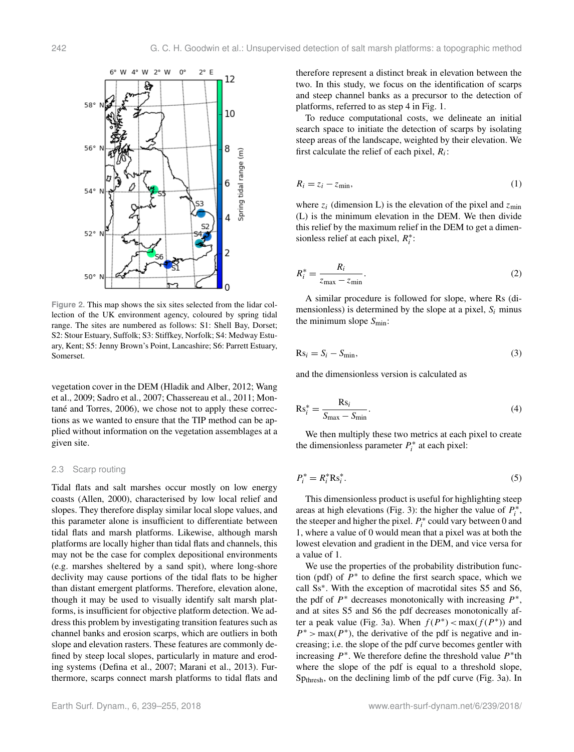<span id="page-3-0"></span>

**Figure 2.** This map shows the six sites selected from the lidar collection of the UK environment agency, coloured by spring tidal range. The sites are numbered as follows: S1: Shell Bay, Dorset; S2: Stour Estuary, Suffolk; S3: Stiffkey, Norfolk; S4: Medway Estuary, Kent; S5: Jenny Brown's Point, Lancashire; S6: Parrett Estuary, Somerset.

vegetation cover in the DEM [\(Hladik and Alber,](#page-15-24) [2012;](#page-15-24) [Wang](#page-16-7) [et al.,](#page-16-7) [2009;](#page-16-7) [Sadro et al.,](#page-16-6) [2007;](#page-16-6) [Chassereau et al.,](#page-14-7) [2011;](#page-14-7) [Mon](#page-15-25)[tané and Torres,](#page-15-25) [2006\)](#page-15-25), we chose not to apply these corrections as we wanted to ensure that the TIP method can be applied without information on the vegetation assemblages at a given site.

# 2.3 Scarp routing

Tidal flats and salt marshes occur mostly on low energy coasts [\(Allen,](#page-14-12) [2000\)](#page-14-12), characterised by low local relief and slopes. They therefore display similar local slope values, and this parameter alone is insufficient to differentiate between tidal flats and marsh platforms. Likewise, although marsh platforms are locally higher than tidal flats and channels, this may not be the case for complex depositional environments (e.g. marshes sheltered by a sand spit), where long-shore declivity may cause portions of the tidal flats to be higher than distant emergent platforms. Therefore, elevation alone, though it may be used to visually identify salt marsh platforms, is insufficient for objective platform detection. We address this problem by investigating transition features such as channel banks and erosion scarps, which are outliers in both slope and elevation rasters. These features are commonly defined by steep local slopes, particularly in mature and eroding systems [\(Defina et al.,](#page-14-10) [2007;](#page-14-10) [Marani et al.,](#page-15-18) [2013\)](#page-15-18). Furthermore, scarps connect marsh platforms to tidal flats and therefore represent a distinct break in elevation between the two. In this study, we focus on the identification of scarps and steep channel banks as a precursor to the detection of platforms, referred to as step 4 in Fig. [1.](#page-2-0)

To reduce computational costs, we delineate an initial search space to initiate the detection of scarps by isolating steep areas of the landscape, weighted by their elevation. We first calculate the relief of each pixel,  $R_i$ :

$$
R_i = z_i - z_{\min},\tag{1}
$$

where  $z_i$  (dimension L) is the elevation of the pixel and  $z_{min}$ (L) is the minimum elevation in the DEM. We then divide this relief by the maximum relief in the DEM to get a dimensionless relief at each pixel,  $R_i^*$ :

$$
R_i^* = \frac{R_i}{z_{\text{max}} - z_{\text{min}}}.\tag{2}
$$

A similar procedure is followed for slope, where Rs (dimensionless) is determined by the slope at a pixel,  $S_i$  minus the minimum slope  $S_{\text{min}}$ :

$$
Rsi = Si - Smin,
$$
 (3)

and the dimensionless version is calculated as

$$
Rs_i^* = \frac{Rs_i}{S_{\text{max}} - S_{\text{min}}}.
$$
\n(4)

We then multiply these two metrics at each pixel to create the dimensionless parameter  $P_i^*$  at each pixel:

$$
P_i^* = R_i^* R s_i^*.
$$
\n<sup>(5)</sup>

This dimensionless product is useful for highlighting steep areas at high elevations (Fig. [3\)](#page-4-0): the higher the value of  $P_i^*$ , the steeper and higher the pixel.  $P_i^*$  could vary between 0 and 1, where a value of 0 would mean that a pixel was at both the lowest elevation and gradient in the DEM, and vice versa for a value of 1.

We use the properties of the probability distribution function (pdf) of  $P^*$  to define the first search space, which we call Ss<sup>∗</sup> . With the exception of macrotidal sites S5 and S6, the pdf of  $P^*$  decreases monotonically with increasing  $P^*$ , and at sites S5 and S6 the pdf decreases monotonically af-ter a peak value (Fig. [3a](#page-4-0)). When  $f(P^*) < max(f(P^*))$  and  $P^*$  > max( $P^*$ ), the derivative of the pdf is negative and increasing; i.e. the slope of the pdf curve becomes gentler with increasing  $P^*$ . We therefore define the threshold value  $P^*$ th where the slope of the pdf is equal to a threshold slope, Spthresh, on the declining limb of the pdf curve (Fig. [3a](#page-4-0)). In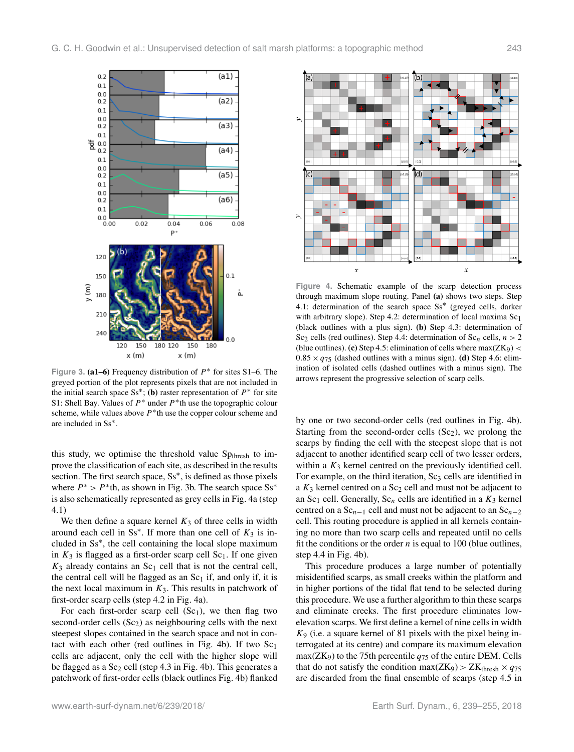<span id="page-4-0"></span>

Figure 3. (a1–6) Frequency distribution of  $P^*$  for sites S1–6. The greyed portion of the plot represents pixels that are not included in the initial search space Ss<sup>\*</sup>; (b) raster representation of  $P^*$  for site S1: Shell Bay. Values of  $P^*$  under  $P^*$ th use the topographic colour scheme, while values above  $P^*$ th use the copper colour scheme and are included in Ss<sup>∗</sup> .

this study, we optimise the threshold value  $Sp_{thresh}$  to improve the classification of each site, as described in the results section. The first search space, Ss<sup>\*</sup>, is defined as those pixels where  $P^* > P^*$ th, as shown in Fig. [3b](#page-4-0). The search space Ss<sup>\*</sup> is also schematically represented as grey cells in Fig. [4a](#page-4-1) (step 4.1)

We then define a square kernel  $K_3$  of three cells in width around each cell in  $Ss^*$ . If more than one cell of  $K_3$  is included in Ss<sup>∗</sup> , the cell containing the local slope maximum in  $K_3$  is flagged as a first-order scarp cell  $Sc_1$ . If one given  $K_3$  already contains an Sc<sub>1</sub> cell that is not the central cell, the central cell will be flagged as an  $Sc<sub>1</sub>$  if, and only if, it is the next local maximum in  $K_3$ . This results in patchwork of first-order scarp cells (step 4.2 in Fig. [4a](#page-4-1)).

For each first-order scarp cell  $(Sc_1)$ , we then flag two second-order cells  $(Sc<sub>2</sub>)$  as neighbouring cells with the next steepest slopes contained in the search space and not in con-tact with each other (red outlines in Fig. [4b](#page-4-1)). If two  $Sc<sub>1</sub>$ cells are adjacent, only the cell with the higher slope will be flagged as a  $Sc<sub>2</sub>$  cell (step 4.3 in Fig. [4b](#page-4-1)). This generates a patchwork of first-order cells (black outlines Fig. [4b](#page-4-1)) flanked

<span id="page-4-1"></span>

**Figure 4.** Schematic example of the scarp detection process through maximum slope routing. Panel (a) shows two steps. Step 4.1: determination of the search space Ss<sup>\*</sup> (greyed cells, darker with arbitrary slope). Step 4.2: determination of local maxima Sc<sub>1</sub> (black outlines with a plus sign). (b) Step 4.3: determination of Sc<sub>2</sub> cells (red outlines). Step 4.4: determination of Sc<sub>n</sub> cells,  $n > 2$ (blue outlines). (c) Step 4.5: elimination of cells where  $max(ZK<sub>9</sub>)$  <  $0.85 \times q_{75}$  (dashed outlines with a minus sign). (d) Step 4.6: elimination of isolated cells (dashed outlines with a minus sign). The arrows represent the progressive selection of scarp cells.

by one or two second-order cells (red outlines in Fig. [4b](#page-4-1)). Starting from the second-order cells  $(Sc<sub>2</sub>)$ , we prolong the scarps by finding the cell with the steepest slope that is not adjacent to another identified scarp cell of two lesser orders, within a  $K_3$  kernel centred on the previously identified cell. For example, on the third iteration,  $Sc<sub>3</sub>$  cells are identified in a  $K_3$  kernel centred on a Sc<sub>2</sub> cell and must not be adjacent to an Sc<sub>1</sub> cell. Generally, Sc<sub>n</sub> cells are identified in a  $K_3$  kernel centred on a  $Sc_{n-1}$  cell and must not be adjacent to an  $Sc_{n-2}$ cell. This routing procedure is applied in all kernels containing no more than two scarp cells and repeated until no cells fit the conditions or the order  $n$  is equal to 100 (blue outlines, step 4.4 in Fig. [4b](#page-4-1)).

This procedure produces a large number of potentially misidentified scarps, as small creeks within the platform and in higher portions of the tidal flat tend to be selected during this procedure. We use a further algorithm to thin these scarps and eliminate creeks. The first procedure eliminates lowelevation scarps. We first define a kernel of nine cells in width  $K_9$  (i.e. a square kernel of 81 pixels with the pixel being interrogated at its centre) and compare its maximum elevation  $max(ZK_9)$  to the 75th percentile  $q_{75}$  of the entire DEM. Cells that do not satisfy the condition max(ZK9) > ZK<sub>thresh</sub>  $\times$   $q_{75}$ are discarded from the final ensemble of scarps (step 4.5 in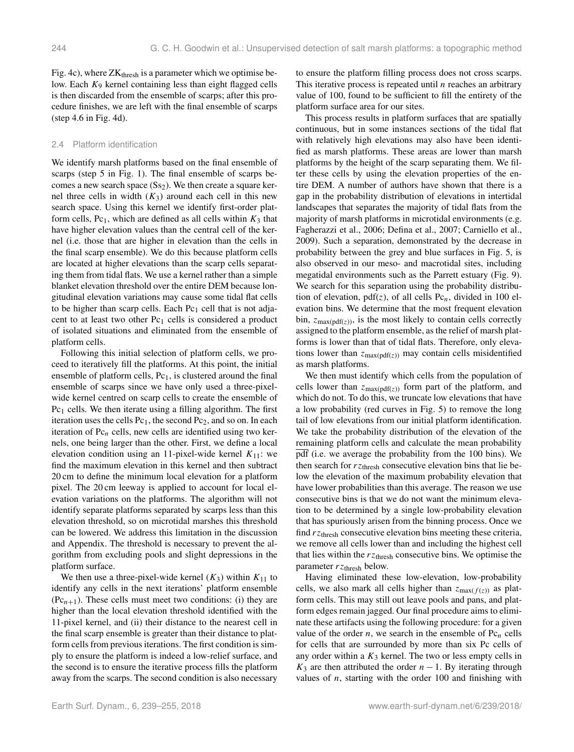Fig. [4c](#page-4-1)), where  $ZK<sub>thresh</sub>$  is a parameter which we optimise below. Each  $K_9$  kernel containing less than eight flagged cells is then discarded from the ensemble of scarps; after this procedure finishes, we are left with the final ensemble of scarps (step 4.6 in Fig. [4d](#page-4-1)).

#### 2.4 Platform identification

We identify marsh platforms based on the final ensemble of scarps (step 5 in Fig. [1\)](#page-2-0). The final ensemble of scarps becomes a new search space  $(Ss<sub>2</sub>)$ . We then create a square kernel three cells in width  $(K_3)$  around each cell in this new search space. Using this kernel we identify first-order platform cells,  $Pc_1$ , which are defined as all cells within  $K_3$  that have higher elevation values than the central cell of the kernel (i.e. those that are higher in elevation than the cells in the final scarp ensemble). We do this because platform cells are located at higher elevations than the scarp cells separating them from tidal flats. We use a kernel rather than a simple blanket elevation threshold over the entire DEM because longitudinal elevation variations may cause some tidal flat cells to be higher than scarp cells. Each  $Pc<sub>1</sub>$  cell that is not adjacent to at least two other  $Pc<sub>1</sub>$  cells is considered a product of isolated situations and eliminated from the ensemble of platform cells.

Following this initial selection of platform cells, we proceed to iteratively fill the platforms. At this point, the initial ensemble of platform cells,  $Pc<sub>1</sub>$ , is clustered around the final ensemble of scarps since we have only used a three-pixelwide kernel centred on scarp cells to create the ensemble of  $Pc<sub>1</sub>$  cells. We then iterate using a filling algorithm. The first iteration uses the cells  $Pc_1$ , the second  $Pc_2$ , and so on. In each iteration of  $Pc_n$  cells, new cells are identified using two kernels, one being larger than the other. First, we define a local elevation condition using an 11-pixel-wide kernel  $K_{11}$ : we find the maximum elevation in this kernel and then subtract 20 cm to define the minimum local elevation for a platform pixel. The 20 cm leeway is applied to account for local elevation variations on the platforms. The algorithm will not identify separate platforms separated by scarps less than this elevation threshold, so on microtidal marshes this threshold can be lowered. We address this limitation in the discussion and Appendix. The threshold is necessary to prevent the algorithm from excluding pools and slight depressions in the platform surface.

We then use a three-pixel-wide kernel  $(K_3)$  within  $K_{11}$  to identify any cells in the next iterations' platform ensemble  $(Pc_{n+1})$ . These cells must meet two conditions: (i) they are higher than the local elevation threshold identified with the 11-pixel kernel, and (ii) their distance to the nearest cell in the final scarp ensemble is greater than their distance to platform cells from previous iterations. The first condition is simply to ensure the platform is indeed a low-relief surface, and the second is to ensure the iterative process fills the platform away from the scarps. The second condition is also necessary to ensure the platform filling process does not cross scarps. This iterative process is repeated until  $n$  reaches an arbitrary value of 100, found to be sufficient to fill the entirety of the platform surface area for our sites.

This process results in platform surfaces that are spatially continuous, but in some instances sections of the tidal flat with relatively high elevations may also have been identified as marsh platforms. These areas are lower than marsh platforms by the height of the scarp separating them. We filter these cells by using the elevation properties of the entire DEM. A number of authors have shown that there is a gap in the probability distribution of elevations in intertidal landscapes that separates the majority of tidal flats from the majority of marsh platforms in microtidal environments (e.g. [Fagherazzi et al.,](#page-14-9) [2006;](#page-14-9) [Defina et al.,](#page-14-10) [2007;](#page-14-10) [Carniello et al.,](#page-14-13) [2009\)](#page-14-13). Such a separation, demonstrated by the decrease in probability between the grey and blue surfaces in Fig. [5,](#page-6-0) is also observed in our meso- and macrotidal sites, including megatidal environments such as the Parrett estuary (Fig. [9\)](#page-10-0). We search for this separation using the probability distribution of elevation,  $pdf(z)$ , of all cells  $Pc_n$ , divided in 100 elevation bins. We determine that the most frequent elevation bin,  $z_{\text{max(pdf(z))}}$ , is the most likely to contain cells correctly assigned to the platform ensemble, as the relief of marsh platforms is lower than that of tidal flats. Therefore, only elevations lower than  $z_{\text{max(pdf(z))}}$  may contain cells misidentified as marsh platforms.

We then must identify which cells from the population of cells lower than  $z_{\text{max(pdf(z))}}$  form part of the platform, and which do not. To do this, we truncate low elevations that have a low probability (red curves in Fig. [5\)](#page-6-0) to remove the long tail of low elevations from our initial platform identification. We take the probability distribution of the elevation of the remaining platform cells and calculate the mean probability pdf (i.e. we average the probability from the 100 bins). We then search for  $rz$ <sub>thresh</sub> consecutive elevation bins that lie below the elevation of the maximum probability elevation that have lower probabilities than this average. The reason we use consecutive bins is that we do not want the minimum elevation to be determined by a single low-probability elevation that has spuriously arisen from the binning process. Once we find  $rz<sub>thresh</sub>$  consecutive elevation bins meeting these criteria, we remove all cells lower than and including the highest cell that lies within the  $rz$ <sub>thresh</sub> consecutive bins. We optimise the parameter  $rz$ <sub>thresh</sub> below.

Having eliminated these low-elevation, low-probability cells, we also mark all cells higher than  $z_{\text{max}(f(z))}$  as platform cells. This may still out leave pools and pans, and platform edges remain jagged. Our final procedure aims to eliminate these artifacts using the following procedure: for a given value of the order *n*, we search in the ensemble of  $Pc_n$  cells for cells that are surrounded by more than six Pc cells of any order within a  $K_3$  kernel. The two or less empty cells in  $K_3$  are then attributed the order  $n - 1$ . By iterating through values of  $n$ , starting with the order 100 and finishing with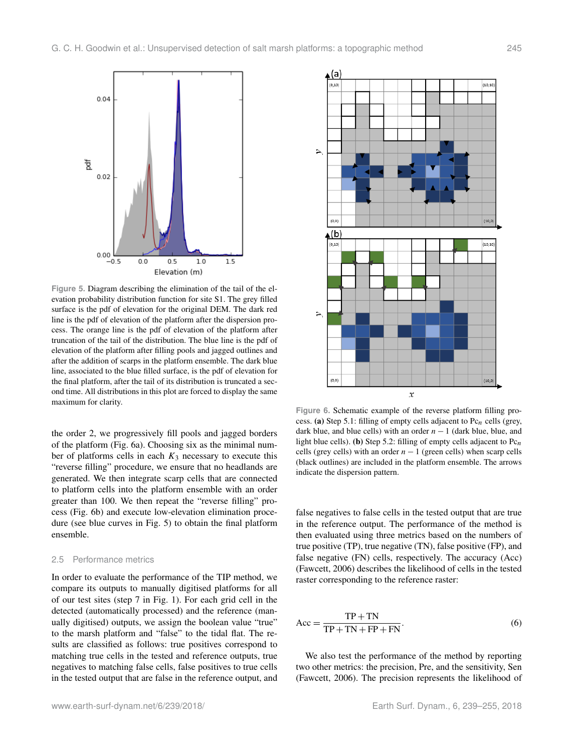<span id="page-6-0"></span>

**Figure 5.** Diagram describing the elimination of the tail of the elevation probability distribution function for site S1. The grey filled surface is the pdf of elevation for the original DEM. The dark red line is the pdf of elevation of the platform after the dispersion process. The orange line is the pdf of elevation of the platform after truncation of the tail of the distribution. The blue line is the pdf of elevation of the platform after filling pools and jagged outlines and after the addition of scarps in the platform ensemble. The dark blue line, associated to the blue filled surface, is the pdf of elevation for the final platform, after the tail of its distribution is truncated a second time. All distributions in this plot are forced to display the same maximum for clarity.

the order 2, we progressively fill pools and jagged borders of the platform (Fig. [6a](#page-6-1)). Choosing six as the minimal number of platforms cells in each  $K_3$  necessary to execute this "reverse filling" procedure, we ensure that no headlands are generated. We then integrate scarp cells that are connected to platform cells into the platform ensemble with an order greater than 100. We then repeat the "reverse filling" process (Fig. [6b](#page-6-1)) and execute low-elevation elimination procedure (see blue curves in Fig. [5\)](#page-6-0) to obtain the final platform ensemble.

#### 2.5 Performance metrics

In order to evaluate the performance of the TIP method, we compare its outputs to manually digitised platforms for all of our test sites (step 7 in Fig. [1\)](#page-2-0). For each grid cell in the detected (automatically processed) and the reference (manually digitised) outputs, we assign the boolean value "true" to the marsh platform and "false" to the tidal flat. The results are classified as follows: true positives correspond to matching true cells in the tested and reference outputs, true negatives to matching false cells, false positives to true cells in the tested output that are false in the reference output, and

<span id="page-6-1"></span>

**Figure 6.** Schematic example of the reverse platform filling process. (a) Step 5.1: filling of empty cells adjacent to  $Pc_n$  cells (grey, dark blue, and blue cells) with an order  $n - 1$  (dark blue, blue, and light blue cells). (b) Step 5.2: filling of empty cells adjacent to  $Pc_n$ cells (grey cells) with an order  $n - 1$  (green cells) when scarp cells (black outlines) are included in the platform ensemble. The arrows indicate the dispersion pattern.

false negatives to false cells in the tested output that are true in the reference output. The performance of the method is then evaluated using three metrics based on the numbers of true positive (TP), true negative (TN), false positive (FP), and false negative (FN) cells, respectively. The accuracy (Acc) [\(Fawcett,](#page-15-26) [2006\)](#page-15-26) describes the likelihood of cells in the tested raster corresponding to the reference raster:

$$
Acc = \frac{TP + TN}{TP + TN + FP + FN}.
$$
\n(6)

We also test the performance of the method by reporting two other metrics: the precision, Pre, and the sensitivity, Sen [\(Fawcett,](#page-15-26) [2006\)](#page-15-26). The precision represents the likelihood of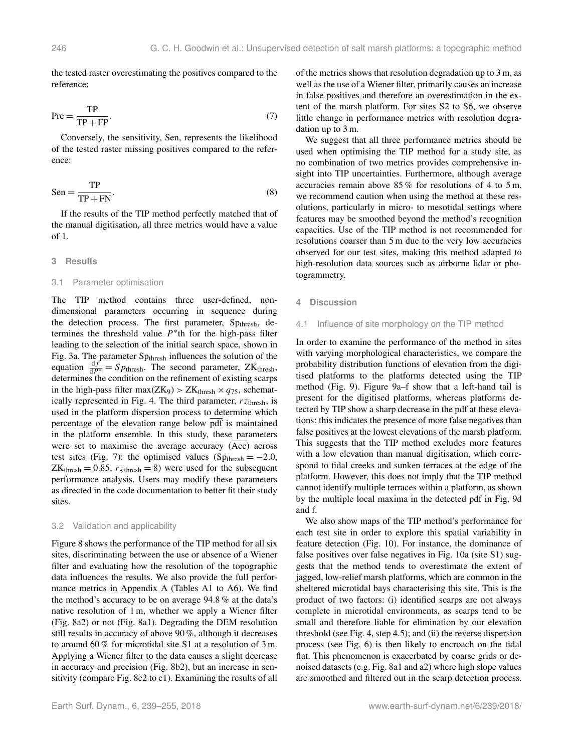the tested raster overestimating the positives compared to the reference:

$$
\text{Pre} = \frac{\text{TP}}{\text{TP} + \text{FP}}.\tag{7}
$$

Conversely, the sensitivity, Sen, represents the likelihood of the tested raster missing positives compared to the reference:

$$
Sen = \frac{TP}{TP + FN}.
$$
\n(8)

If the results of the TIP method perfectly matched that of the manual digitisation, all three metrics would have a value of 1.

#### **3 Results**

#### 3.1 Parameter optimisation

The TIP method contains three user-defined, nondimensional parameters occurring in sequence during the detection process. The first parameter, Spthresh, determines the threshold value  $P^*$ th for the high-pass filter leading to the selection of the initial search space, shown in Fig. [3a](#page-4-0). The parameter Sp<sub>thresh</sub> influences the solution of the equation  $\frac{df}{dP^*} = Sp_{\text{thresh}}$ . The second parameter, ZK<sub>thresh</sub>, determines the condition on the refinement of existing scarps in the high-pass filter max( $ZK_9$ ) >  $ZK_{thresh} \times q_{75}$ , schemat-ically represented in Fig. [4.](#page-4-1) The third parameter,  $rz_{\text{thresh}}$ , is used in the platform dispersion process to determine which percentage of the elevation range below pdf is maintained in the platform ensemble. In this study, these parameters were set to maximise the average accuracy  $(\overline{Acc})$  across test sites (Fig. [7\)](#page-8-0): the optimised values (Sp<sub>thresh</sub> =  $-2.0$ ,  $ZK_{\text{thresh}} = 0.85$ ,  $rz_{\text{thresh}} = 8$ ) were used for the subsequent performance analysis. Users may modify these parameters as directed in the code documentation to better fit their study sites.

# 3.2 Validation and applicability

Figure [8](#page-9-0) shows the performance of the TIP method for all six sites, discriminating between the use or absence of a Wiener filter and evaluating how the resolution of the topographic data influences the results. We also provide the full performance metrics in Appendix A (Tables [A1](#page-12-0) to [A6\)](#page-12-1). We find the method's accuracy to be on average 94.8 % at the data's native resolution of 1 m, whether we apply a Wiener filter (Fig. [8a](#page-9-0)2) or not (Fig. [8a](#page-9-0)1). Degrading the DEM resolution still results in accuracy of above 90 %, although it decreases to around 60 % for microtidal site S1 at a resolution of 3 m. Applying a Wiener filter to the data causes a slight decrease in accuracy and precision (Fig. [8b](#page-9-0)2), but an increase in sensitivity (compare Fig. [8c](#page-9-0)2 to c1). Examining the results of all of the metrics shows that resolution degradation up to 3 m, as well as the use of a Wiener filter, primarily causes an increase in false positives and therefore an overestimation in the extent of the marsh platform. For sites S2 to S6, we observe little change in performance metrics with resolution degradation up to 3 m.

We suggest that all three performance metrics should be used when optimising the TIP method for a study site, as no combination of two metrics provides comprehensive insight into TIP uncertainties. Furthermore, although average accuracies remain above 85 % for resolutions of 4 to 5 m, we recommend caution when using the method at these resolutions, particularly in micro- to mesotidal settings where features may be smoothed beyond the method's recognition capacities. Use of the TIP method is not recommended for resolutions coarser than 5 m due to the very low accuracies observed for our test sites, making this method adapted to high-resolution data sources such as airborne lidar or photogrammetry.

#### **4 Discussion**

#### <span id="page-7-0"></span>4.1 Influence of site morphology on the TIP method

In order to examine the performance of the method in sites with varying morphological characteristics, we compare the probability distribution functions of elevation from the digitised platforms to the platforms detected using the TIP method (Fig. [9\)](#page-10-0). Figure [9a](#page-10-0)–f show that a left-hand tail is present for the digitised platforms, whereas platforms detected by TIP show a sharp decrease in the pdf at these elevations: this indicates the presence of more false negatives than false positives at the lowest elevations of the marsh platform. This suggests that the TIP method excludes more features with a low elevation than manual digitisation, which correspond to tidal creeks and sunken terraces at the edge of the platform. However, this does not imply that the TIP method cannot identify multiple terraces within a platform, as shown by the multiple local maxima in the detected pdf in Fig. [9d](#page-10-0) and f.

We also show maps of the TIP method's performance for each test site in order to explore this spatial variability in feature detection (Fig. [10\)](#page-10-1). For instance, the dominance of false positives over false negatives in Fig. [10a](#page-10-1) (site S1) suggests that the method tends to overestimate the extent of jagged, low-relief marsh platforms, which are common in the sheltered microtidal bays characterising this site. This is the product of two factors: (i) identified scarps are not always complete in microtidal environments, as scarps tend to be small and therefore liable for elimination by our elevation threshold (see Fig. [4,](#page-4-1) step 4.5); and (ii) the reverse dispersion process (see Fig. [6\)](#page-6-1) is then likely to encroach on the tidal flat. This phenomenon is exacerbated by coarse grids or denoised datasets (e.g. Fig. [8a](#page-9-0)1 and a2) where high slope values are smoothed and filtered out in the scarp detection process.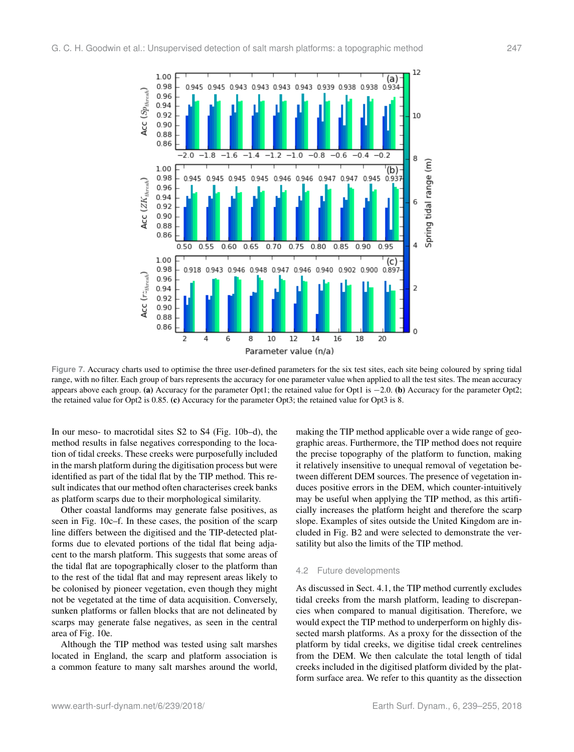<span id="page-8-0"></span>

**Figure 7.** Accuracy charts used to optimise the three user-defined parameters for the six test sites, each site being coloured by spring tidal range, with no filter. Each group of bars represents the accuracy for one parameter value when applied to all the test sites. The mean accuracy appears above each group. (a) Accuracy for the parameter Opt1; the retained value for Opt1 is −2.0. (b) Accuracy for the parameter Opt2; the retained value for Opt2 is 0.85. (c) Accuracy for the parameter Opt3; the retained value for Opt3 is 8.

In our meso- to macrotidal sites S2 to S4 (Fig. [10b](#page-10-1)–d), the method results in false negatives corresponding to the location of tidal creeks. These creeks were purposefully included in the marsh platform during the digitisation process but were identified as part of the tidal flat by the TIP method. This result indicates that our method often characterises creek banks as platform scarps due to their morphological similarity.

Other coastal landforms may generate false positives, as seen in Fig. [10c](#page-10-1)–f. In these cases, the position of the scarp line differs between the digitised and the TIP-detected platforms due to elevated portions of the tidal flat being adjacent to the marsh platform. This suggests that some areas of the tidal flat are topographically closer to the platform than to the rest of the tidal flat and may represent areas likely to be colonised by pioneer vegetation, even though they might not be vegetated at the time of data acquisition. Conversely, sunken platforms or fallen blocks that are not delineated by scarps may generate false negatives, as seen in the central area of Fig. [10e](#page-10-1).

Although the TIP method was tested using salt marshes located in England, the scarp and platform association is a common feature to many salt marshes around the world,

making the TIP method applicable over a wide range of geographic areas. Furthermore, the TIP method does not require the precise topography of the platform to function, making it relatively insensitive to unequal removal of vegetation between different DEM sources. The presence of vegetation induces positive errors in the DEM, which counter-intuitively may be useful when applying the TIP method, as this artificially increases the platform height and therefore the scarp slope. Examples of sites outside the United Kingdom are included in Fig. [B2](#page-13-0) and were selected to demonstrate the versatility but also the limits of the TIP method.

#### 4.2 Future developments

As discussed in Sect. [4.1,](#page-7-0) the TIP method currently excludes tidal creeks from the marsh platform, leading to discrepancies when compared to manual digitisation. Therefore, we would expect the TIP method to underperform on highly dissected marsh platforms. As a proxy for the dissection of the platform by tidal creeks, we digitise tidal creek centrelines from the DEM. We then calculate the total length of tidal creeks included in the digitised platform divided by the platform surface area. We refer to this quantity as the dissection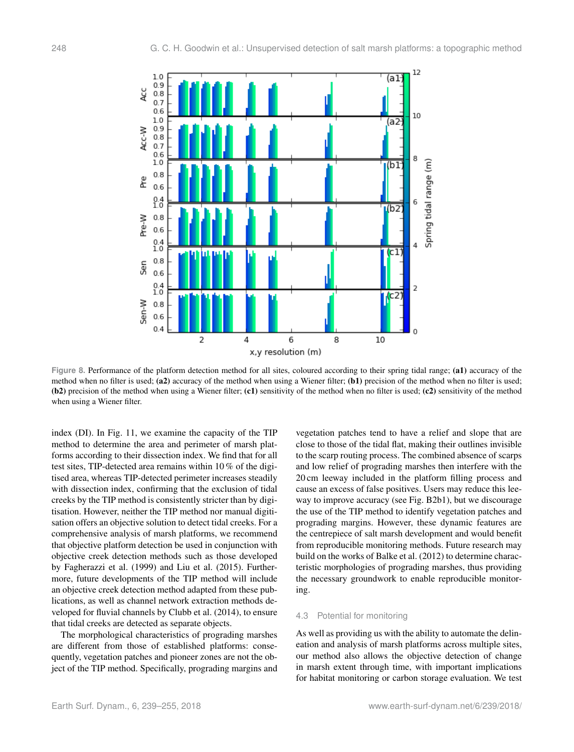<span id="page-9-0"></span>

**Figure 8.** Performance of the platform detection method for all sites, coloured according to their spring tidal range; (a1) accuracy of the method when no filter is used; (a2) accuracy of the method when using a Wiener filter; (b1) precision of the method when no filter is used; (b2) precision of the method when using a Wiener filter; (c1) sensitivity of the method when no filter is used; (c2) sensitivity of the method when using a Wiener filter.

index (DI). In Fig. [11,](#page-11-0) we examine the capacity of the TIP method to determine the area and perimeter of marsh platforms according to their dissection index. We find that for all test sites, TIP-detected area remains within 10 % of the digitised area, whereas TIP-detected perimeter increases steadily with dissection index, confirming that the exclusion of tidal creeks by the TIP method is consistently stricter than by digitisation. However, neither the TIP method nor manual digitisation offers an objective solution to detect tidal creeks. For a comprehensive analysis of marsh platforms, we recommend that objective platform detection be used in conjunction with objective creek detection methods such as those developed by [Fagherazzi et al.](#page-14-8) [\(1999\)](#page-14-8) and [Liu et al.](#page-15-16) [\(2015\)](#page-15-16). Furthermore, future developments of the TIP method will include an objective creek detection method adapted from these publications, as well as channel network extraction methods developed for fluvial channels by [Clubb et al.](#page-14-14) [\(2014\)](#page-14-14), to ensure that tidal creeks are detected as separate objects.

The morphological characteristics of prograding marshes are different from those of established platforms: consequently, vegetation patches and pioneer zones are not the object of the TIP method. Specifically, prograding margins and

vegetation patches tend to have a relief and slope that are close to those of the tidal flat, making their outlines invisible to the scarp routing process. The combined absence of scarps and low relief of prograding marshes then interfere with the 20 cm leeway included in the platform filling process and cause an excess of false positives. Users may reduce this leeway to improve accuracy (see Fig. [B2b](#page-13-0)1), but we discourage the use of the TIP method to identify vegetation patches and prograding margins. However, these dynamic features are the centrepiece of salt marsh development and would benefit from reproducible monitoring methods. Future research may build on the works of [Balke et al.](#page-14-15) [\(2012\)](#page-14-15) to determine characteristic morphologies of prograding marshes, thus providing the necessary groundwork to enable reproducible monitoring.

# 4.3 Potential for monitoring

As well as providing us with the ability to automate the delineation and analysis of marsh platforms across multiple sites, our method also allows the objective detection of change in marsh extent through time, with important implications for habitat monitoring or carbon storage evaluation. We test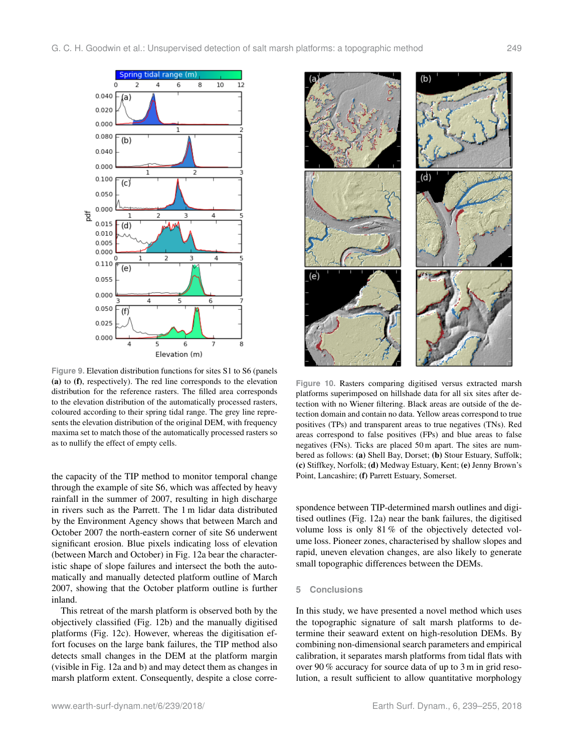<span id="page-10-0"></span>

**Figure 9.** Elevation distribution functions for sites S1 to S6 (panels (a) to (f), respectively). The red line corresponds to the elevation distribution for the reference rasters. The filled area corresponds to the elevation distribution of the automatically processed rasters, coloured according to their spring tidal range. The grey line represents the elevation distribution of the original DEM, with frequency maxima set to match those of the automatically processed rasters so as to nullify the effect of empty cells.

the capacity of the TIP method to monitor temporal change through the example of site S6, which was affected by heavy rainfall in the summer of 2007, resulting in high discharge in rivers such as the Parrett. The 1 m lidar data distributed by the Environment Agency shows that between March and October 2007 the north-eastern corner of site S6 underwent significant erosion. Blue pixels indicating loss of elevation (between March and October) in Fig. [12a](#page-11-1) bear the characteristic shape of slope failures and intersect the both the automatically and manually detected platform outline of March 2007, showing that the October platform outline is further inland.

This retreat of the marsh platform is observed both by the objectively classified (Fig. [12b](#page-11-1)) and the manually digitised platforms (Fig. [12c](#page-11-1)). However, whereas the digitisation effort focuses on the large bank failures, the TIP method also detects small changes in the DEM at the platform margin (visible in Fig. [12a](#page-11-1) and b) and may detect them as changes in marsh platform extent. Consequently, despite a close corre-

<span id="page-10-1"></span>

**Figure 10.** Rasters comparing digitised versus extracted marsh platforms superimposed on hillshade data for all six sites after detection with no Wiener filtering. Black areas are outside of the detection domain and contain no data. Yellow areas correspond to true positives (TPs) and transparent areas to true negatives (TNs). Red areas correspond to false positives (FPs) and blue areas to false negatives (FNs). Ticks are placed 50 m apart. The sites are numbered as follows: (a) Shell Bay, Dorset; (b) Stour Estuary, Suffolk; (c) Stiffkey, Norfolk; (d) Medway Estuary, Kent; (e) Jenny Brown's Point, Lancashire; (f) Parrett Estuary, Somerset.

spondence between TIP-determined marsh outlines and digitised outlines (Fig. [12a](#page-11-1)) near the bank failures, the digitised volume loss is only 81 % of the objectively detected volume loss. Pioneer zones, characterised by shallow slopes and rapid, uneven elevation changes, are also likely to generate small topographic differences between the DEMs.

# **5 Conclusions**

In this study, we have presented a novel method which uses the topographic signature of salt marsh platforms to determine their seaward extent on high-resolution DEMs. By combining non-dimensional search parameters and empirical calibration, it separates marsh platforms from tidal flats with over 90 % accuracy for source data of up to 3 m in grid resolution, a result sufficient to allow quantitative morphology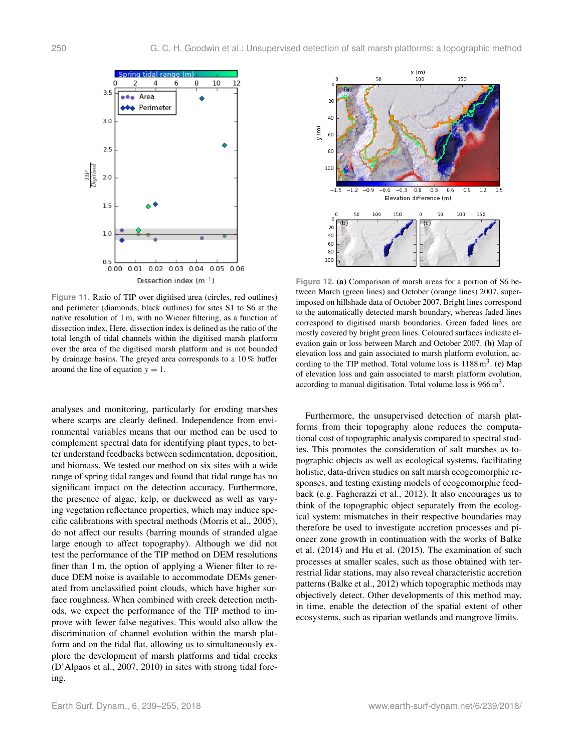<span id="page-11-0"></span>

**Figure 11.** Ratio of TIP over digitised area (circles, red outlines) and perimeter (diamonds, black outlines) for sites S1 to S6 at the native resolution of 1 m, with no Wiener filtering, as a function of dissection index. Here, dissection index is defined as the ratio of the total length of tidal channels within the digitised marsh platform over the area of the digitised marsh platform and is not bounded by drainage basins. The greyed area corresponds to a 10 % buffer around the line of equation  $y = 1$ .

analyses and monitoring, particularly for eroding marshes where scarps are clearly defined. Independence from environmental variables means that our method can be used to complement spectral data for identifying plant types, to better understand feedbacks between sedimentation, deposition, and biomass. We tested our method on six sites with a wide range of spring tidal ranges and found that tidal range has no significant impact on the detection accuracy. Furthermore, the presence of algae, kelp, or duckweed as well as varying vegetation reflectance properties, which may induce specific calibrations with spectral methods [\(Morris et al.,](#page-15-27) [2005\)](#page-15-27), do not affect our results (barring mounds of stranded algae large enough to affect topography). Although we did not test the performance of the TIP method on DEM resolutions finer than 1 m, the option of applying a Wiener filter to reduce DEM noise is available to accommodate DEMs generated from unclassified point clouds, which have higher surface roughness. When combined with creek detection methods, we expect the performance of the TIP method to improve with fewer false negatives. This would also allow the discrimination of channel evolution within the marsh platform and on the tidal flat, allowing us to simultaneously explore the development of marsh platforms and tidal creeks [\(D'Alpaos et al.,](#page-14-16) [2007,](#page-14-16) [2010\)](#page-14-17) in sites with strong tidal forcing.

<span id="page-11-1"></span>

**Figure 12.** (a) Comparison of marsh areas for a portion of S6 between March (green lines) and October (orange lines) 2007, superimposed on hillshade data of October 2007. Bright lines correspond to the automatically detected marsh boundary, whereas faded lines correspond to digitised marsh boundaries. Green faded lines are mostly covered by bright green lines. Coloured surfaces indicate elevation gain or loss between March and October 2007. (b) Map of elevation loss and gain associated to marsh platform evolution, according to the TIP method. Total volume loss is  $1188 \text{ m}^3$ . (c) Map of elevation loss and gain associated to marsh platform evolution, according to manual digitisation. Total volume loss is  $966 \text{ m}^3$ .

Furthermore, the unsupervised detection of marsh platforms from their topography alone reduces the computational cost of topographic analysis compared to spectral studies. This promotes the consideration of salt marshes as topographic objects as well as ecological systems, facilitating holistic, data-driven studies on salt marsh ecogeomorphic responses, and testing existing models of ecogeomorphic feedback (e.g. [Fagherazzi et al.,](#page-14-11) [2012\)](#page-14-11). It also encourages us to think of the topographic object separately from the ecological system: mismatches in their respective boundaries may therefore be used to investigate accretion processes and pioneer zone growth in continuation with the works of [Balke](#page-14-18) [et al.](#page-14-18) [\(2014\)](#page-14-18) and [Hu et al.](#page-15-6) [\(2015\)](#page-15-6). The examination of such processes at smaller scales, such as those obtained with terrestrial lidar stations, may also reveal characteristic accretion patterns [\(Balke et al.,](#page-14-15) [2012\)](#page-14-15) which topographic methods may objectively detect. Other developments of this method may, in time, enable the detection of the spatial extent of other ecosystems, such as riparian wetlands and mangrove limits.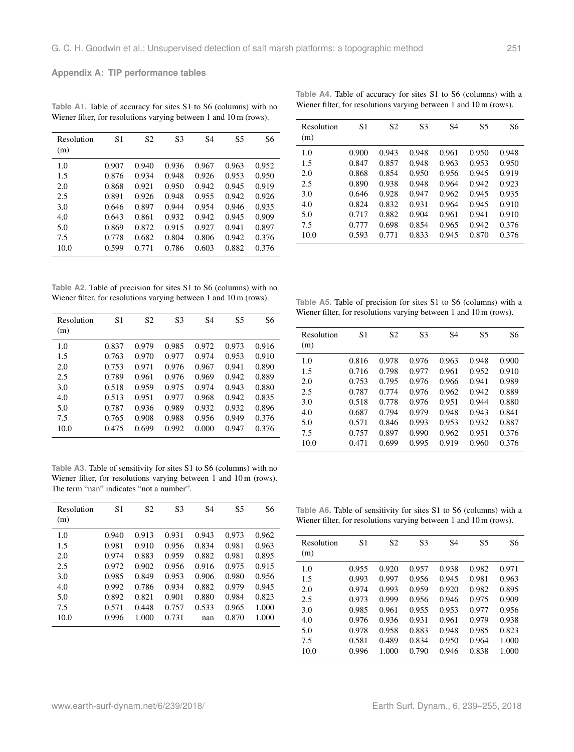**Appendix A: TIP performance tables**

| Resolution<br>(m) | S1    | S <sub>2</sub> | S <sub>3</sub> | S <sub>4</sub> | S5    | S6    |
|-------------------|-------|----------------|----------------|----------------|-------|-------|
| 1.0               | 0.907 | 0.940          | 0.936          | 0.967          | 0.963 | 0.952 |
| 1.5               | 0.876 | 0.934          | 0.948          | 0.926          | 0.953 | 0.950 |
| 2.0               | 0.868 | 0.921          | 0.950          | 0.942          | 0.945 | 0.919 |
| 2.5               | 0.891 | 0.926          | 0.948          | 0.955          | 0.942 | 0.926 |
| 3.0               | 0.646 | 0.897          | 0.944          | 0.954          | 0.946 | 0.935 |
| 4.0               | 0.643 | 0.861          | 0.932          | 0.942          | 0.945 | 0.909 |
| 5.0               | 0.869 | 0.872          | 0.915          | 0.927          | 0.941 | 0.897 |
| 7.5               | 0.778 | 0.682          | 0.804          | 0.806          | 0.942 | 0.376 |
| 10.0              | 0.599 | 0.771          | 0.786          | 0.603          | 0.882 | 0.376 |
|                   |       |                |                |                |       |       |

<span id="page-12-0"></span>**Table A1.** Table of accuracy for sites S1 to S6 (columns) with no Wiener filter, for resolutions varying between 1 and 10 m (rows).

|  |  |  | Table A4. Table of accuracy for sites S1 to S6 (columns) with a               |  |
|--|--|--|-------------------------------------------------------------------------------|--|
|  |  |  | Wiener filter, for resolutions varying between $1$ and $10 \text{ m}$ (rows). |  |

| Resolution<br>(m) | S1    | S <sub>2</sub> | S <sub>3</sub> | S <sub>4</sub> | S5    | S6    |
|-------------------|-------|----------------|----------------|----------------|-------|-------|
| 1.0               | 0.900 | 0.943          | 0.948          | 0.961          | 0.950 | 0.948 |
| 1.5               | 0.847 | 0.857          | 0.948          | 0.963          | 0.953 | 0.950 |
| 2.0               | 0.868 | 0.854          | 0.950          | 0.956          | 0.945 | 0.919 |
| 2.5               | 0.890 | 0.938          | 0.948          | 0.964          | 0.942 | 0.923 |
| 3.0               | 0.646 | 0.928          | 0.947          | 0.962          | 0.945 | 0.935 |
| 4.0               | 0.824 | 0.832          | 0.931          | 0.964          | 0.945 | 0.910 |
| 5.0               | 0.717 | 0.882          | 0.904          | 0.961          | 0.941 | 0.910 |
| 7.5               | 0.777 | 0.698          | 0.854          | 0.965          | 0.942 | 0.376 |
| 10.0              | 0.593 | 0.771          | 0.833          | 0.945          | 0.870 | 0.376 |

**Table A2.** Table of precision for sites S1 to S6 (columns) with no Wiener filter, for resolutions varying between 1 and 10 m (rows).

| Resolution<br>(m) | S1    | S <sub>2</sub> | S3    | S4    | S <sub>5</sub> | S6    |
|-------------------|-------|----------------|-------|-------|----------------|-------|
| 1.0               | 0.837 | 0.979          | 0.985 | 0.972 | 0.973          | 0.916 |
| 1.5               | 0.763 | 0.970          | 0.977 | 0.974 | 0.953          | 0.910 |
| 2.0               | 0.753 | 0.971          | 0.976 | 0.967 | 0.941          | 0.890 |
| 2.5               | 0.789 | 0.961          | 0.976 | 0.969 | 0.942          | 0.889 |
| 3.0               | 0.518 | 0.959          | 0.975 | 0.974 | 0.943          | 0.880 |
| 4.0               | 0.513 | 0.951          | 0.977 | 0.968 | 0.942          | 0.835 |
| 5.0               | 0.787 | 0.936          | 0.989 | 0.932 | 0.932          | 0.896 |
| 7.5               | 0.765 | 0.908          | 0.988 | 0.956 | 0.949          | 0.376 |
| 10.0              | 0.475 | 0.699          | 0.992 | 0.000 | 0.947          | 0.376 |

**Table A3.** Table of sensitivity for sites S1 to S6 (columns) with no Wiener filter, for resolutions varying between 1 and 10 m (rows). The term "nan" indicates "not a number".

| Resolution<br>(m) | S1    | S <sub>2</sub> | S <sub>3</sub> | S4    | S5    | S6    |
|-------------------|-------|----------------|----------------|-------|-------|-------|
| 1.0               | 0.940 | 0.913          | 0.931          | 0.943 | 0.973 | 0.962 |
| 1.5               | 0.981 | 0.910          | 0.956          | 0.834 | 0.981 | 0.963 |
| 2.0               | 0.974 | 0.883          | 0.959          | 0.882 | 0.981 | 0.895 |
| 2.5               | 0.972 | 0.902          | 0.956          | 0.916 | 0.975 | 0.915 |
| 3.0               | 0.985 | 0.849          | 0.953          | 0.906 | 0.980 | 0.956 |
| 4.0               | 0.992 | 0.786          | 0.934          | 0.882 | 0.979 | 0.945 |
| 5.0               | 0.892 | 0.821          | 0.901          | 0.880 | 0.984 | 0.823 |
| 7.5               | 0.571 | 0.448          | 0.757          | 0.533 | 0.965 | 1.000 |
| 10.0              | 0.996 | 1.000          | 0.731          | nan   | 0.870 | 1.000 |

**Table A5.** Table of precision for sites S1 to S6 (columns) with a Wiener filter, for resolutions varying between 1 and 10 m (rows).

| Resolution<br>(m) | S1    | S <sub>2</sub> | S <sub>3</sub> | S <sub>4</sub> | S <sub>5</sub> | S6    |
|-------------------|-------|----------------|----------------|----------------|----------------|-------|
| 1.0               | 0.816 | 0.978          | 0.976          | 0.963          | 0.948          | 0.900 |
| 1.5               | 0.716 | 0.798          | 0.977          | 0.961          | 0.952          | 0.910 |
| 2.0               | 0.753 | 0.795          | 0.976          | 0.966          | 0.941          | 0.989 |
| 2.5               | 0.787 | 0.774          | 0.976          | 0.962          | 0.942          | 0.889 |
| 3.0               | 0.518 | 0.778          | 0.976          | 0.951          | 0.944          | 0.880 |
| 4.0               | 0.687 | 0.794          | 0.979          | 0.948          | 0.943          | 0.841 |
| 5.0               | 0.571 | 0.846          | 0.993          | 0.953          | 0.932          | 0.887 |
| 7.5               | 0.757 | 0.897          | 0.990          | 0.962          | 0.951          | 0.376 |
| 10.0              | 0.471 | 0.699          | 0.995          | 0.919          | 0.960          | 0.376 |

<span id="page-12-1"></span>**Table A6.** Table of sensitivity for sites S1 to S6 (columns) with a Wiener filter, for resolutions varying between 1 and 10 m (rows).

| Resolution<br>(m) | S1    | S <sub>2</sub> | S <sub>3</sub> | S4    | S <sub>5</sub> | S6    |
|-------------------|-------|----------------|----------------|-------|----------------|-------|
| 1.0               | 0.955 | 0.920          | 0.957          | 0.938 | 0.982          | 0.971 |
| 1.5               | 0.993 | 0.997          | 0.956          | 0.945 | 0.981          | 0.963 |
| 2.0               | 0.974 | 0.993          | 0.959          | 0.920 | 0.982          | 0.895 |
| 2.5               | 0.973 | 0.999          | 0.956          | 0.946 | 0.975          | 0.909 |
| 3.0               | 0.985 | 0.961          | 0.955          | 0.953 | 0.977          | 0.956 |
| 4.0               | 0.976 | 0.936          | 0.931          | 0.961 | 0.979          | 0.938 |
| 5.0               | 0.978 | 0.958          | 0.883          | 0.948 | 0.985          | 0.823 |
| 7.5               | 0.581 | 0.489          | 0.834          | 0.950 | 0.964          | 1.000 |
| 10.0              | 0.996 | 1.000          | 0.790          | 0.946 | 0.838          | 1.000 |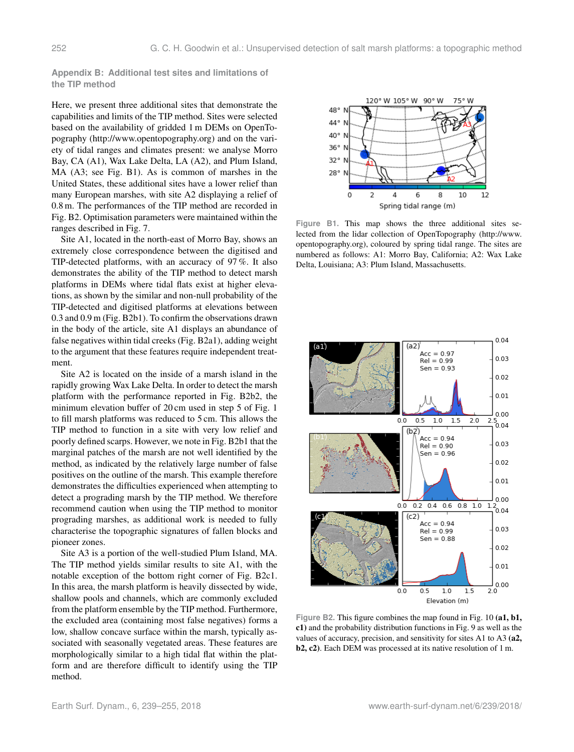**Appendix B: Additional test sites and limitations of the TIP method**

Here, we present three additional sites that demonstrate the capabilities and limits of the TIP method. Sites were selected based on the availability of gridded 1 m DEMs on OpenTopography [\(http://www.opentopography.org\)](http://www.opentopography.org) and on the variety of tidal ranges and climates present: we analyse Morro Bay, CA (A1), Wax Lake Delta, LA (A2), and Plum Island, MA (A3; see Fig. [B1\)](#page-13-1). As is common of marshes in the United States, these additional sites have a lower relief than many European marshes, with site A2 displaying a relief of 0.8 m. The performances of the TIP method are recorded in Fig. [B2.](#page-13-0) Optimisation parameters were maintained within the ranges described in Fig. [7.](#page-8-0)

Site A1, located in the north-east of Morro Bay, shows an extremely close correspondence between the digitised and TIP-detected platforms, with an accuracy of 97 %. It also demonstrates the ability of the TIP method to detect marsh platforms in DEMs where tidal flats exist at higher elevations, as shown by the similar and non-null probability of the TIP-detected and digitised platforms at elevations between 0.3 and 0.9 m (Fig. [B2b](#page-13-0)1). To confirm the observations drawn in the body of the article, site A1 displays an abundance of false negatives within tidal creeks (Fig. [B2a](#page-13-0)1), adding weight to the argument that these features require independent treatment.

Site A2 is located on the inside of a marsh island in the rapidly growing Wax Lake Delta. In order to detect the marsh platform with the performance reported in Fig. [B2b](#page-13-0)2, the minimum elevation buffer of 20 cm used in step 5 of Fig. [1](#page-2-0) to fill marsh platforms was reduced to 5 cm. This allows the TIP method to function in a site with very low relief and poorly defined scarps. However, we note in Fig. [B2b](#page-13-0)1 that the marginal patches of the marsh are not well identified by the method, as indicated by the relatively large number of false positives on the outline of the marsh. This example therefore demonstrates the difficulties experienced when attempting to detect a prograding marsh by the TIP method. We therefore recommend caution when using the TIP method to monitor prograding marshes, as additional work is needed to fully characterise the topographic signatures of fallen blocks and pioneer zones.

Site A3 is a portion of the well-studied Plum Island, MA. The TIP method yields similar results to site A1, with the notable exception of the bottom right corner of Fig. [B2c](#page-13-0)1. In this area, the marsh platform is heavily dissected by wide, shallow pools and channels, which are commonly excluded from the platform ensemble by the TIP method. Furthermore, the excluded area (containing most false negatives) forms a low, shallow concave surface within the marsh, typically associated with seasonally vegetated areas. These features are morphologically similar to a high tidal flat within the platform and are therefore difficult to identify using the TIP method.

<span id="page-13-1"></span>

**Figure B1.** This map shows the three additional sites selected from the lidar collection of OpenTopography [\(http://www.](http://www.opentopography.org) [opentopography.org\)](http://www.opentopography.org), coloured by spring tidal range. The sites are numbered as follows: A1: Morro Bay, California; A2: Wax Lake Delta, Louisiana; A3: Plum Island, Massachusetts.

<span id="page-13-0"></span>

Figure B2. This figure combines the map found in Fig. [10](#page-10-1) (a1, b1, c1) and the probability distribution functions in Fig. [9](#page-10-0) as well as the values of accuracy, precision, and sensitivity for sites A1 to A3 (a2, b2, c2). Each DEM was processed at its native resolution of 1 m.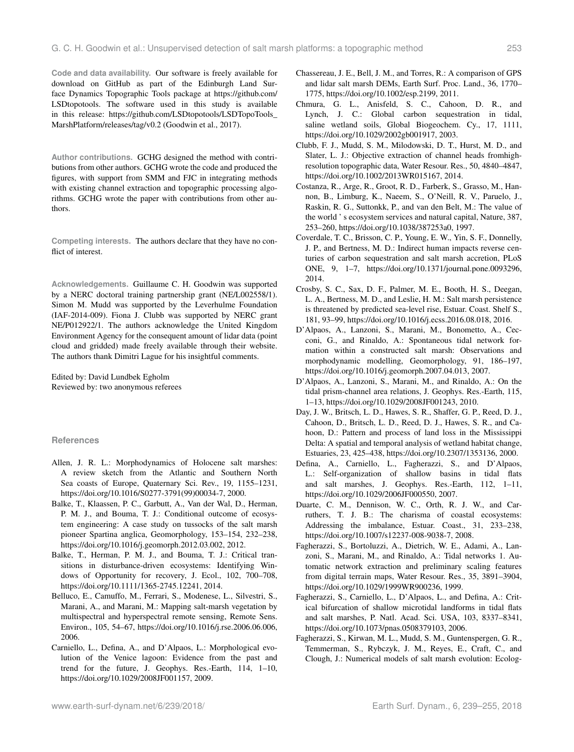**Code and data availability.** Our software is freely available for download on GitHub as part of the Edinburgh Land Surface Dynamics Topographic Tools package at [https://github.com/](https://github.com/LSDtopotools) [LSDtopotools.](https://github.com/LSDtopotools) The software used in this study is available in this release: [https://github.com/LSDtopotools/LSDTopoTools\\_](https://github.com/LSDtopotools/LSDTopoTools_MarshPlatform/releases/tag/v0.2) [MarshPlatform/releases/tag/v0.2](https://github.com/LSDtopotools/LSDTopoTools_MarshPlatform/releases/tag/v0.2) [\(Goodwin et al.,](#page-15-28) [2017\)](#page-15-28).

**Author contributions.** GCHG designed the method with contributions from other authors. GCHG wrote the code and produced the figures, with support from SMM and FJC in integrating methods with existing channel extraction and topographic processing algorithms. GCHG wrote the paper with contributions from other authors.

**Competing interests.** The authors declare that they have no conflict of interest.

**Acknowledgements.** Guillaume C. H. Goodwin was supported by a NERC doctoral training partnership grant (NE/L002558/1). Simon M. Mudd was supported by the Leverhulme Foundation (IAF-2014-009). Fiona J. Clubb was supported by NERC grant NE/P012922/1. The authors acknowledge the United Kingdom Environment Agency for the consequent amount of lidar data (point cloud and gridded) made freely available through their website. The authors thank Dimitri Lague for his insightful comments.

Edited by: David Lundbek Egholm Reviewed by: two anonymous referees

# **References**

- <span id="page-14-12"></span>Allen, J. R. L.: Morphodynamics of Holocene salt marshes: A review sketch from the Atlantic and Southern North Sea coasts of Europe, Quaternary Sci. Rev., 19, 1155–1231, https://doi.org[/10.1016/S0277-3791\(99\)00034-7,](https://doi.org/10.1016/S0277-3791(99)00034-7) 2000.
- <span id="page-14-15"></span>Balke, T., Klaassen, P. C., Garbutt, A., Van der Wal, D., Herman, P. M. J., and Bouma, T. J.: Conditional outcome of ecosystem engineering: A case study on tussocks of the salt marsh pioneer Spartina anglica, Geomorphology, 153–154, 232–238, https://doi.org[/10.1016/j.geomorph.2012.03.002,](https://doi.org/10.1016/j.geomorph.2012.03.002) 2012.
- <span id="page-14-18"></span>Balke, T., Herman, P. M. J., and Bouma, T. J.: Critical transitions in disturbance-driven ecosystems: Identifying Windows of Opportunity for recovery, J. Ecol., 102, 700–708, https://doi.org[/10.1111/1365-2745.12241,](https://doi.org/10.1111/1365-2745.12241) 2014.
- <span id="page-14-6"></span>Belluco, E., Camuffo, M., Ferrari, S., Modenese, L., Silvestri, S., Marani, A., and Marani, M.: Mapping salt-marsh vegetation by multispectral and hyperspectral remote sensing, Remote Sens. Environ., 105, 54–67, https://doi.org[/10.1016/j.rse.2006.06.006,](https://doi.org/10.1016/j.rse.2006.06.006) 2006.
- <span id="page-14-13"></span>Carniello, L., Defina, A., and D'Alpaos, L.: Morphological evolution of the Venice lagoon: Evidence from the past and trend for the future, J. Geophys. Res.-Earth, 114, 1–10, https://doi.org[/10.1029/2008JF001157,](https://doi.org/10.1029/2008JF001157) 2009.
- <span id="page-14-7"></span>Chassereau, J. E., Bell, J. M., and Torres, R.: A comparison of GPS and lidar salt marsh DEMs, Earth Surf. Proc. Land., 36, 1770– 1775, https://doi.org[/10.1002/esp.2199,](https://doi.org/10.1002/esp.2199) 2011.
- <span id="page-14-0"></span>Chmura, G. L., Anisfeld, S. C., Cahoon, D. R., and Lynch, J. C.: Global carbon sequestration in tidal, saline wetland soils, Global Biogeochem. Cy., 17, 1111, https://doi.org[/10.1029/2002gb001917,](https://doi.org/10.1029/2002gb001917) 2003.
- <span id="page-14-14"></span>Clubb, F. J., Mudd, S. M., Milodowski, D. T., Hurst, M. D., and Slater, L. J.: Objective extraction of channel heads fromhighresolution topographic data, Water Resour. Res., 50, 4840–4847, https://doi.org[/10.1002/2013WR015167,](https://doi.org/10.1002/2013WR015167) 2014.
- <span id="page-14-1"></span>Costanza, R., Arge, R., Groot, R. D., Farberk, S., Grasso, M., Hannon, B., Limburg, K., Naeem, S., O'Neill, R. V., Paruelo, J., Raskin, R. G., Suttonkk, P., and van den Belt, M.: The value of the world ' s ecosystem services and natural capital, Nature, 387, 253–260, https://doi.org[/10.1038/387253a0,](https://doi.org/10.1038/387253a0) 1997.
- <span id="page-14-2"></span>Coverdale, T. C., Brisson, C. P., Young, E. W., Yin, S. F., Donnelly, J. P., and Bertness, M. D.: Indirect human impacts reverse centuries of carbon sequestration and salt marsh accretion, PLoS ONE, 9, 1–7, https://doi.org[/10.1371/journal.pone.0093296,](https://doi.org/10.1371/journal.pone.0093296) 2014.
- <span id="page-14-5"></span>Crosby, S. C., Sax, D. F., Palmer, M. E., Booth, H. S., Deegan, L. A., Bertness, M. D., and Leslie, H. M.: Salt marsh persistence is threatened by predicted sea-level rise, Estuar. Coast. Shelf S., 181, 93–99, https://doi.org[/10.1016/j.ecss.2016.08.018,](https://doi.org/10.1016/j.ecss.2016.08.018) 2016.
- <span id="page-14-16"></span>D'Alpaos, A., Lanzoni, S., Marani, M., Bonometto, A., Cecconi, G., and Rinaldo, A.: Spontaneous tidal network formation within a constructed salt marsh: Observations and morphodynamic modelling, Geomorphology, 91, 186–197, https://doi.org[/10.1016/j.geomorph.2007.04.013,](https://doi.org/10.1016/j.geomorph.2007.04.013) 2007.
- <span id="page-14-17"></span>D'Alpaos, A., Lanzoni, S., Marani, M., and Rinaldo, A.: On the tidal prism-channel area relations, J. Geophys. Res.-Earth, 115, 1–13, https://doi.org[/10.1029/2008JF001243,](https://doi.org/10.1029/2008JF001243) 2010.
- <span id="page-14-3"></span>Day, J. W., Britsch, L. D., Hawes, S. R., Shaffer, G. P., Reed, D. J., Cahoon, D., Britsch, L. D., Reed, D. J., Hawes, S. R., and Cahoon, D.: Pattern and process of land loss in the Mississippi Delta: A spatial and temporal analysis of wetland habitat change, Estuaries, 23, 425–438, https://doi.org[/10.2307/1353136,](https://doi.org/10.2307/1353136) 2000.
- <span id="page-14-10"></span>Defina, A., Carniello, L., Fagherazzi, S., and D'Alpaos, L.: Self-organization of shallow basins in tidal flats and salt marshes, J. Geophys. Res.-Earth, 112, 1–11, https://doi.org[/10.1029/2006JF000550,](https://doi.org/10.1029/2006JF000550) 2007.
- <span id="page-14-4"></span>Duarte, C. M., Dennison, W. C., Orth, R. J. W., and Carruthers, T. J. B.: The charisma of coastal ecosystems: Addressing the imbalance, Estuar. Coast., 31, 233–238, https://doi.org[/10.1007/s12237-008-9038-7,](https://doi.org/10.1007/s12237-008-9038-7) 2008.
- <span id="page-14-8"></span>Fagherazzi, S., Bortoluzzi, A., Dietrich, W. E., Adami, A., Lanzoni, S., Marani, M., and Rinaldo, A.: Tidal networks 1. Automatic network extraction and preliminary scaling features from digital terrain maps, Water Resour. Res., 35, 3891–3904, https://doi.org[/10.1029/1999WR900236,](https://doi.org/10.1029/1999WR900236) 1999.
- <span id="page-14-9"></span>Fagherazzi, S., Carniello, L., D'Alpaos, L., and Defina, A.: Critical bifurcation of shallow microtidal landforms in tidal flats and salt marshes, P. Natl. Acad. Sci. USA, 103, 8337–8341, https://doi.org[/10.1073/pnas.0508379103,](https://doi.org/10.1073/pnas.0508379103) 2006.
- <span id="page-14-11"></span>Fagherazzi, S., Kirwan, M. L., Mudd, S. M., Guntenspergen, G. R., Temmerman, S., Rybczyk, J. M., Reyes, E., Craft, C., and Clough, J.: Numerical models of salt marsh evolution: Ecolog-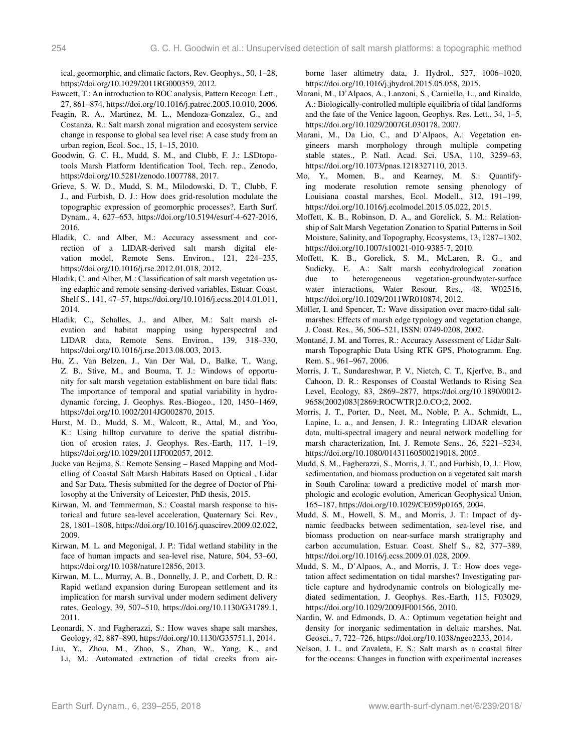ical, geormorphic, and climatic factors, Rev. Geophys., 50, 1–28, https://doi.org[/10.1029/2011RG000359,](https://doi.org/10.1029/2011RG000359) 2012.

- <span id="page-15-26"></span>Fawcett, T.: An introduction to ROC analysis, Pattern Recogn. Lett., 27, 861–874, https://doi.org[/10.1016/j.patrec.2005.10.010,](https://doi.org/10.1016/j.patrec.2005.10.010) 2006.
- <span id="page-15-23"></span>Feagin, R. A., Martinez, M. L., Mendoza-Gonzalez, G., and Costanza, R.: Salt marsh zonal migration and ecosystem service change in response to global sea level rise: A case study from an urban region, Ecol. Soc., 15, 1–15, 2010.
- <span id="page-15-28"></span>Goodwin, G. C. H., Mudd, S. M., and Clubb, F. J.: LSDtopotools Marsh Platform Identification Tool, Tech. rep., Zenodo, https://doi.org[/10.5281/zenodo.1007788,](https://doi.org/10.5281/zenodo.1007788) 2017.
- <span id="page-15-20"></span>Grieve, S. W. D., Mudd, S. M., Milodowski, D. T., Clubb, F. J., and Furbish, D. J.: How does grid-resolution modulate the topographic expression of geomorphic processes?, Earth Surf. Dynam., 4, 627–653, https://doi.org[/10.5194/esurf-4-627-2016,](https://doi.org/10.5194/esurf-4-627-2016) 2016.
- <span id="page-15-24"></span>Hladik, C. and Alber, M.: Accuracy assessment and correction of a LIDAR-derived salt marsh digital elevation model, Remote Sens. Environ., 121, 224–235, https://doi.org[/10.1016/j.rse.2012.01.018,](https://doi.org/10.1016/j.rse.2012.01.018) 2012.
- <span id="page-15-11"></span>Hladik, C. and Alber, M.: Classification of salt marsh vegetation using edaphic and remote sensing-derived variables, Estuar. Coast. Shelf S., 141, 47–57, https://doi.org[/10.1016/j.ecss.2014.01.011,](https://doi.org/10.1016/j.ecss.2014.01.011) 2014.
- <span id="page-15-14"></span>Hladik, C., Schalles, J., and Alber, M.: Salt marsh elevation and habitat mapping using hyperspectral and LIDAR data, Remote Sens. Environ., 139, 318–330, https://doi.org[/10.1016/j.rse.2013.08.003,](https://doi.org/10.1016/j.rse.2013.08.003) 2013.
- <span id="page-15-6"></span>Hu, Z., Van Belzen, J., Van Der Wal, D., Balke, T., Wang, Z. B., Stive, M., and Bouma, T. J.: Windows of opportunity for salt marsh vegetation establishment on bare tidal flats: The importance of temporal and spatial variability in hydrodynamic forcing, J. Geophys. Res.-Biogeo., 120, 1450–1469, https://doi.org[/10.1002/2014JG002870,](https://doi.org/10.1002/2014JG002870) 2015.
- <span id="page-15-19"></span>Hurst, M. D., Mudd, S. M., Walcott, R., Attal, M., and Yoo, K.: Using hilltop curvature to derive the spatial distribution of erosion rates, J. Geophys. Res.-Earth, 117, 1–19, https://doi.org[/10.1029/2011JF002057,](https://doi.org/10.1029/2011JF002057) 2012.
- <span id="page-15-10"></span>Jucke van Beijma, S.: Remote Sensing – Based Mapping and Modelling of Coastal Salt Marsh Habitats Based on Optical , Lidar and Sar Data. Thesis submitted for the degree of Doctor of Philosophy at the University of Leicester, PhD thesis, 2015.
- <span id="page-15-1"></span>Kirwan, M. and Temmerman, S.: Coastal marsh response to historical and future sea-level acceleration, Quaternary Sci. Rev., 28, 1801–1808, https://doi.org[/10.1016/j.quascirev.2009.02.022,](https://doi.org/10.1016/j.quascirev.2009.02.022) 2009.
- <span id="page-15-5"></span>Kirwan, M. L. and Megonigal, J. P.: Tidal wetland stability in the face of human impacts and sea-level rise, Nature, 504, 53–60, https://doi.org[/10.1038/nature12856,](https://doi.org/10.1038/nature12856) 2013.
- <span id="page-15-2"></span>Kirwan, M. L., Murray, A. B., Donnelly, J. P., and Corbett, D. R.: Rapid wetland expansion during European settlement and its implication for marsh survival under modern sediment delivery rates, Geology, 39, 507–510, https://doi.org[/10.1130/G31789.1,](https://doi.org/10.1130/G31789.1) 2011.
- <span id="page-15-21"></span>Leonardi, N. and Fagherazzi, S.: How waves shape salt marshes, Geology, 42, 887–890, https://doi.org[/10.1130/G35751.1,](https://doi.org/10.1130/G35751.1) 2014.
- <span id="page-15-16"></span>Liu, Y., Zhou, M., Zhao, S., Zhan, W., Yang, K., and Li, M.: Automated extraction of tidal creeks from air-

borne laser altimetry data, J. Hydrol., 527, 1006–1020, https://doi.org[/10.1016/j.jhydrol.2015.05.058,](https://doi.org/10.1016/j.jhydrol.2015.05.058) 2015.

- <span id="page-15-17"></span>Marani, M., D'Alpaos, A., Lanzoni, S., Carniello, L., and Rinaldo, A.: Biologically-controlled multiple equilibria of tidal landforms and the fate of the Venice lagoon, Geophys. Res. Lett., 34, 1–5, https://doi.org[/10.1029/2007GL030178,](https://doi.org/10.1029/2007GL030178) 2007.
- <span id="page-15-18"></span>Marani, M., Da Lio, C., and D'Alpaos, A.: Vegetation engineers marsh morphology through multiple competing stable states., P. Natl. Acad. Sci. USA, 110, 3259–63, https://doi.org[/10.1073/pnas.1218327110,](https://doi.org/10.1073/pnas.1218327110) 2013.
- <span id="page-15-22"></span>Mo, Y., Momen, B., and Kearney, M. S.: Quantifying moderate resolution remote sensing phenology of Louisiana coastal marshes, Ecol. Modell., 312, 191–199, https://doi.org[/10.1016/j.ecolmodel.2015.05.022,](https://doi.org/10.1016/j.ecolmodel.2015.05.022) 2015.
- <span id="page-15-12"></span>Moffett, K. B., Robinson, D. A., and Gorelick, S. M.: Relationship of Salt Marsh Vegetation Zonation to Spatial Patterns in Soil Moisture, Salinity, and Topography, Ecosystems, 13, 1287–1302, https://doi.org[/10.1007/s10021-010-9385-7,](https://doi.org/10.1007/s10021-010-9385-7) 2010.
- <span id="page-15-13"></span>Moffett, K. B., Gorelick, S. M., McLaren, R. G., and Sudicky, E. A.: Salt marsh ecohydrological zonation<br>due to heterogeneous vegetation-groundwater-surface due to heterogeneous vegetation-groundwater-surface water interactions, Water Resour. Res., 48, W02516, https://doi.org[/10.1029/2011WR010874,](https://doi.org/10.1029/2011WR010874) 2012.
- <span id="page-15-3"></span>Möller, I. and Spencer, T.: Wave dissipation over macro-tidal saltmarshes: Effects of marsh edge typology and vegetation change, J. Coast. Res., 36, 506–521, ISSN: 0749-0208, 2002.
- <span id="page-15-25"></span>Montané, J. M. and Torres, R.: Accuracy Assessment of Lidar Saltmarsh Topographic Data Using RTK GPS, Photogramm. Eng. Rem. S., 961–967, 2006.
- <span id="page-15-15"></span>Morris, J. T., Sundareshwar, P. V., Nietch, C. T., Kjerfve, B., and Cahoon, D. R.: Responses of Coastal Wetlands to Rising Sea Level, Ecology, 83, 2869–2877, https://doi.org[/10.1890/0012-](https://doi.org/10.1890/0012-9658(2002)083[2869:ROCWTR]2.0.CO;2) [9658\(2002\)083\[2869:ROCWTR\]2.0.CO;2,](https://doi.org/10.1890/0012-9658(2002)083[2869:ROCWTR]2.0.CO;2) 2002.
- <span id="page-15-27"></span>Morris, J. T., Porter, D., Neet, M., Noble, P. A., Schmidt, L., Lapine, L. a., and Jensen, J. R.: Integrating LIDAR elevation data, multi-spectral imagery and neural network modelling for marsh characterization, Int. J. Remote Sens., 26, 5221–5234, https://doi.org[/10.1080/01431160500219018,](https://doi.org/10.1080/01431160500219018) 2005.
- <span id="page-15-7"></span>Mudd, S. M., Fagherazzi, S., Morris, J. T., and Furbish, D. J.: Flow, sedimentation, and biomass production on a vegetated salt marsh in South Carolina: toward a predictive model of marsh morphologic and ecologic evolution, American Geophysical Union, 165–187, https://doi.org[/10.1029/CE059p0165,](https://doi.org/10.1029/CE059p0165) 2004.
- <span id="page-15-9"></span>Mudd, S. M., Howell, S. M., and Morris, J. T.: Impact of dynamic feedbacks between sedimentation, sea-level rise, and biomass production on near-surface marsh stratigraphy and carbon accumulation, Estuar. Coast. Shelf S., 82, 377–389, https://doi.org[/10.1016/j.ecss.2009.01.028,](https://doi.org/10.1016/j.ecss.2009.01.028) 2009.
- <span id="page-15-8"></span>Mudd, S. M., D'Alpaos, A., and Morris, J. T.: How does vegetation affect sedimentation on tidal marshes? Investigating particle capture and hydrodynamic controls on biologically mediated sedimentation, J. Geophys. Res.-Earth, 115, F03029, https://doi.org[/10.1029/2009JF001566,](https://doi.org/10.1029/2009JF001566) 2010.
- <span id="page-15-0"></span>Nardin, W. and Edmonds, D. A.: Optimum vegetation height and density for inorganic sedimentation in deltaic marshes, Nat. Geosci., 7, 722–726, https://doi.org[/10.1038/ngeo2233,](https://doi.org/10.1038/ngeo2233) 2014.
- <span id="page-15-4"></span>Nelson, J. L. and Zavaleta, E. S.: Salt marsh as a coastal filter for the oceans: Changes in function with experimental increases